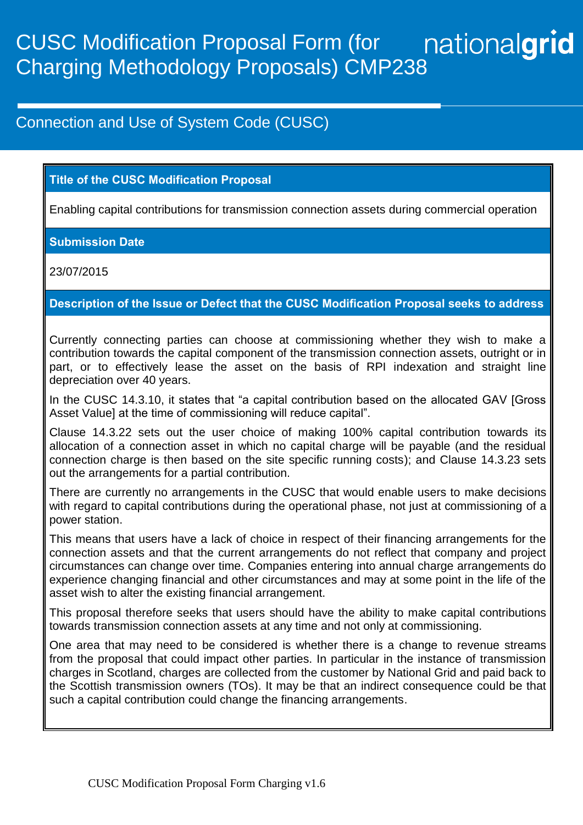## nationalgrid CUSC Modification Proposal Form (for Charging Methodology Proposals) CMP238

# Connection and Use of System Code (CUSC)

## **Title of the CUSC Modification Proposal**

Enabling capital contributions for transmission connection assets during commercial operation

#### **Submission Date**

23/07/2015

## **Description of the Issue or Defect that the CUSC Modification Proposal seeks to address**

Currently connecting parties can choose at commissioning whether they wish to make a contribution towards the capital component of the transmission connection assets, outright or in part, or to effectively lease the asset on the basis of RPI indexation and straight line depreciation over 40 years.

In the CUSC 14.3.10, it states that "a capital contribution based on the allocated GAV [Gross Asset Value] at the time of commissioning will reduce capital".

Clause 14.3.22 sets out the user choice of making 100% capital contribution towards its allocation of a connection asset in which no capital charge will be payable (and the residual connection charge is then based on the site specific running costs); and Clause 14.3.23 sets out the arrangements for a partial contribution.

There are currently no arrangements in the CUSC that would enable users to make decisions with regard to capital contributions during the operational phase, not just at commissioning of a power station.

This means that users have a lack of choice in respect of their financing arrangements for the connection assets and that the current arrangements do not reflect that company and project circumstances can change over time. Companies entering into annual charge arrangements do experience changing financial and other circumstances and may at some point in the life of the asset wish to alter the existing financial arrangement.

This proposal therefore seeks that users should have the ability to make capital contributions towards transmission connection assets at any time and not only at commissioning.

One area that may need to be considered is whether there is a change to revenue streams from the proposal that could impact other parties. In particular in the instance of transmission charges in Scotland, charges are collected from the customer by National Grid and paid back to the Scottish transmission owners (TOs). It may be that an indirect consequence could be that such a capital contribution could change the financing arrangements.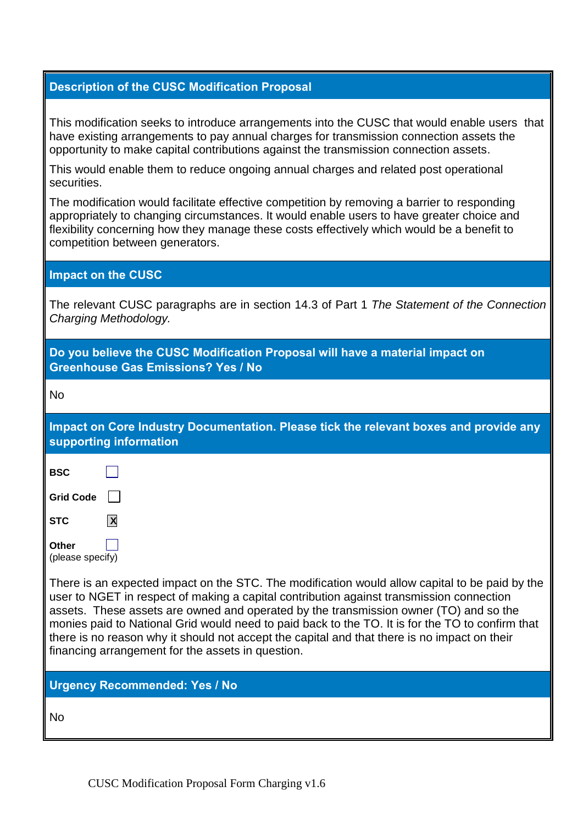| <b>Description of the CUSC Modification Proposal</b> |  |  |
|------------------------------------------------------|--|--|
|                                                      |  |  |

This modification seeks to introduce arrangements into the CUSC that would enable users that have existing arrangements to pay annual charges for transmission connection assets the opportunity to make capital contributions against the transmission connection assets.

This would enable them to reduce ongoing annual charges and related post operational securities.

The modification would facilitate effective competition by removing a barrier to responding appropriately to changing circumstances. It would enable users to have greater choice and flexibility concerning how they manage these costs effectively which would be a benefit to competition between generators.

#### **Impact on the CUSC**

The relevant CUSC paragraphs are in section 14.3 of Part 1 *The Statement of the Connection Charging Methodology.*

| Do you believe the CUSC Modification Proposal will have a material impact on<br><b>Greenhouse Gas Emissions? Yes / No</b>                                                                                                                                                                                                                                                                                                                                                                                                                    |  |  |  |
|----------------------------------------------------------------------------------------------------------------------------------------------------------------------------------------------------------------------------------------------------------------------------------------------------------------------------------------------------------------------------------------------------------------------------------------------------------------------------------------------------------------------------------------------|--|--|--|
| <b>No</b>                                                                                                                                                                                                                                                                                                                                                                                                                                                                                                                                    |  |  |  |
| Impact on Core Industry Documentation. Please tick the relevant boxes and provide any<br>supporting information                                                                                                                                                                                                                                                                                                                                                                                                                              |  |  |  |
| <b>BSC</b>                                                                                                                                                                                                                                                                                                                                                                                                                                                                                                                                   |  |  |  |
| <b>Grid Code</b>                                                                                                                                                                                                                                                                                                                                                                                                                                                                                                                             |  |  |  |
| <b>STC</b><br>$\mathsf{X}$                                                                                                                                                                                                                                                                                                                                                                                                                                                                                                                   |  |  |  |
| Other<br>(please specify)                                                                                                                                                                                                                                                                                                                                                                                                                                                                                                                    |  |  |  |
| There is an expected impact on the STC. The modification would allow capital to be paid by the<br>user to NGET in respect of making a capital contribution against transmission connection<br>assets. These assets are owned and operated by the transmission owner (TO) and so the<br>monies paid to National Grid would need to paid back to the TO. It is for the TO to confirm that<br>there is no reason why it should not accept the capital and that there is no impact on their<br>financing arrangement for the assets in question. |  |  |  |
| <b>Urgency Recommended: Yes / No</b>                                                                                                                                                                                                                                                                                                                                                                                                                                                                                                         |  |  |  |
| <b>No</b>                                                                                                                                                                                                                                                                                                                                                                                                                                                                                                                                    |  |  |  |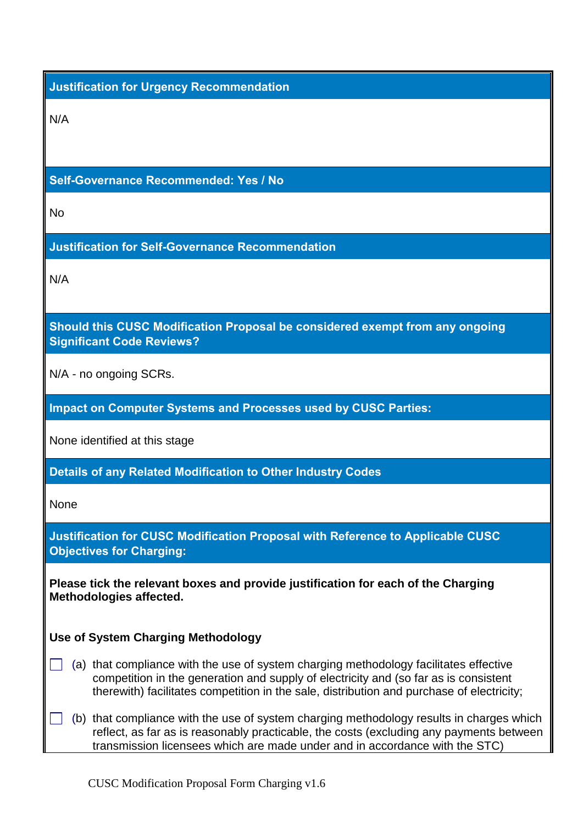## **Justification for Urgency Recommendation**

N/A

#### **Self-Governance Recommended: Yes / No**

 $N<sub>0</sub>$ 

#### **Justification for Self-Governance Recommendation**

N/A

**Should this CUSC Modification Proposal be considered exempt from any ongoing Significant Code Reviews?**

N/A - no ongoing SCRs.

**Impact on Computer Systems and Processes used by CUSC Parties:**

None identified at this stage

**Details of any Related Modification to Other Industry Codes**

None

**Justification for CUSC Modification Proposal with Reference to Applicable CUSC Objectives for Charging:**

**Please tick the relevant boxes and provide justification for each of the Charging Methodologies affected.**

#### **Use of System Charging Methodology**

- $\Box$  (a) that compliance with the use of system charging methodology facilitates effective competition in the generation and supply of electricity and (so far as is consistent therewith) facilitates competition in the sale, distribution and purchase of electricity;
- $\mathbb{R}^2$ (b) that compliance with the use of system charging methodology results in charges which reflect, as far as is reasonably practicable, the costs (excluding any payments between transmission licensees which are made under and in accordance with the STC)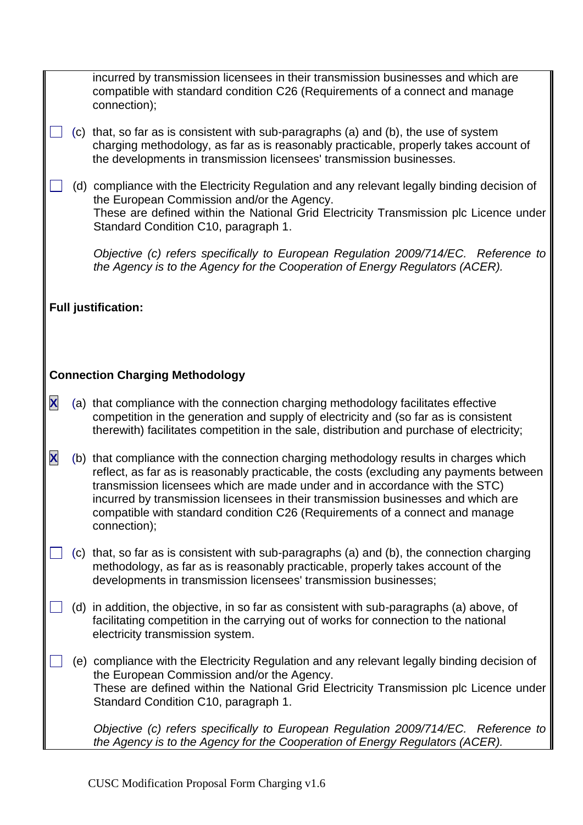|   |                            | incurred by transmission licensees in their transmission businesses and which are<br>compatible with standard condition C26 (Requirements of a connect and manage<br>connection);                                                                                                                                                                                                                                                                    |  |  |  |
|---|----------------------------|------------------------------------------------------------------------------------------------------------------------------------------------------------------------------------------------------------------------------------------------------------------------------------------------------------------------------------------------------------------------------------------------------------------------------------------------------|--|--|--|
|   | (C)                        | that, so far as is consistent with sub-paragraphs (a) and (b), the use of system<br>charging methodology, as far as is reasonably practicable, properly takes account of<br>the developments in transmission licensees' transmission businesses.                                                                                                                                                                                                     |  |  |  |
|   |                            | (d) compliance with the Electricity Regulation and any relevant legally binding decision of<br>the European Commission and/or the Agency.<br>These are defined within the National Grid Electricity Transmission plc Licence under<br>Standard Condition C10, paragraph 1.                                                                                                                                                                           |  |  |  |
|   |                            | Objective (c) refers specifically to European Regulation 2009/714/EC. Reference to<br>the Agency is to the Agency for the Cooperation of Energy Regulators (ACER).                                                                                                                                                                                                                                                                                   |  |  |  |
|   | <b>Full justification:</b> |                                                                                                                                                                                                                                                                                                                                                                                                                                                      |  |  |  |
|   |                            |                                                                                                                                                                                                                                                                                                                                                                                                                                                      |  |  |  |
|   |                            | <b>Connection Charging Methodology</b>                                                                                                                                                                                                                                                                                                                                                                                                               |  |  |  |
| X |                            | (a) that compliance with the connection charging methodology facilitates effective<br>competition in the generation and supply of electricity and (so far as is consistent<br>therewith) facilitates competition in the sale, distribution and purchase of electricity;                                                                                                                                                                              |  |  |  |
| X |                            | (b) that compliance with the connection charging methodology results in charges which<br>reflect, as far as is reasonably practicable, the costs (excluding any payments between<br>transmission licensees which are made under and in accordance with the STC)<br>incurred by transmission licensees in their transmission businesses and which are<br>compatible with standard condition C26 (Requirements of a connect and manage<br>connection); |  |  |  |
|   |                            | (c) that, so far as is consistent with sub-paragraphs (a) and (b), the connection charging<br>methodology, as far as is reasonably practicable, properly takes account of the<br>developments in transmission licensees' transmission businesses;                                                                                                                                                                                                    |  |  |  |
|   | (d)                        | in addition, the objective, in so far as consistent with sub-paragraphs (a) above, of<br>facilitating competition in the carrying out of works for connection to the national<br>electricity transmission system.                                                                                                                                                                                                                                    |  |  |  |
|   |                            | (e) compliance with the Electricity Regulation and any relevant legally binding decision of<br>the European Commission and/or the Agency.<br>These are defined within the National Grid Electricity Transmission plc Licence under<br>Standard Condition C10, paragraph 1.                                                                                                                                                                           |  |  |  |
|   |                            | Objective (c) refers specifically to European Regulation 2009/714/EC. Reference to<br>the Agency is to the Agency for the Cooperation of Energy Regulators (ACER).                                                                                                                                                                                                                                                                                   |  |  |  |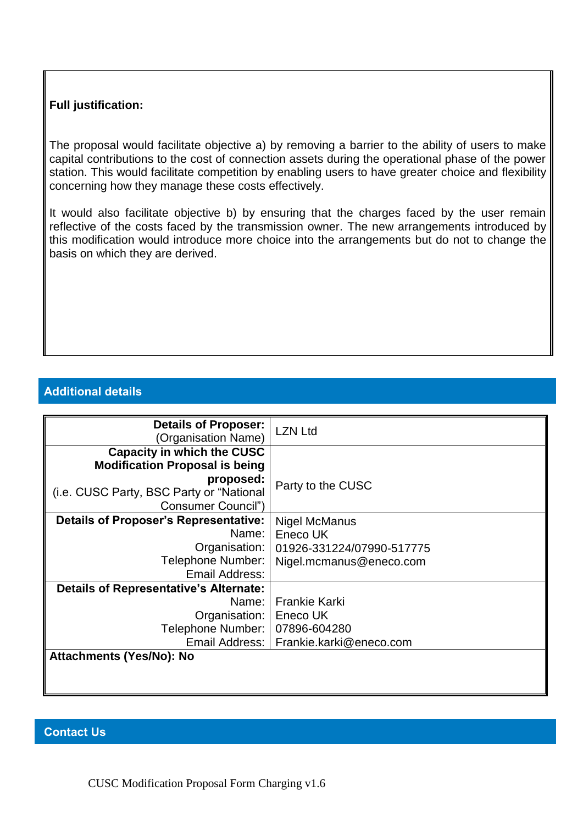#### **Full justification:**

The proposal would facilitate objective a) by removing a barrier to the ability of users to make capital contributions to the cost of connection assets during the operational phase of the power station. This would facilitate competition by enabling users to have greater choice and flexibility concerning how they manage these costs effectively.

It would also facilitate objective b) by ensuring that the charges faced by the user remain reflective of the costs faced by the transmission owner. The new arrangements introduced by this modification would introduce more choice into the arrangements but do not to change the basis on which they are derived.

#### **Additional details**

| <b>Details of Proposer:</b><br>(Organisation Name)             | <b>LZN Ltd</b>                           |  |
|----------------------------------------------------------------|------------------------------------------|--|
| <b>Capacity in which the CUSC</b>                              |                                          |  |
| <b>Modification Proposal is being</b><br>proposed:             | Party to the CUSC                        |  |
| (i.e. CUSC Party, BSC Party or "National<br>Consumer Council") |                                          |  |
| <b>Details of Proposer's Representative:</b>                   | Nigel McManus                            |  |
| Name:                                                          | Eneco UK                                 |  |
| Organisation:                                                  | 01926-331224/07990-517775                |  |
| Telephone Number:                                              | Nigel.mcmanus@eneco.com                  |  |
| Email Address:                                                 |                                          |  |
| <b>Details of Representative's Alternate:</b>                  |                                          |  |
| Name:                                                          | <b>Frankie Karki</b>                     |  |
| Organisation:                                                  | Eneco UK                                 |  |
| Telephone Number:                                              | 07896-604280                             |  |
|                                                                | Email Address:   Frankie.karki@eneco.com |  |
| Attachments (Yes/No): No                                       |                                          |  |
|                                                                |                                          |  |
|                                                                |                                          |  |

#### **Contact Us**